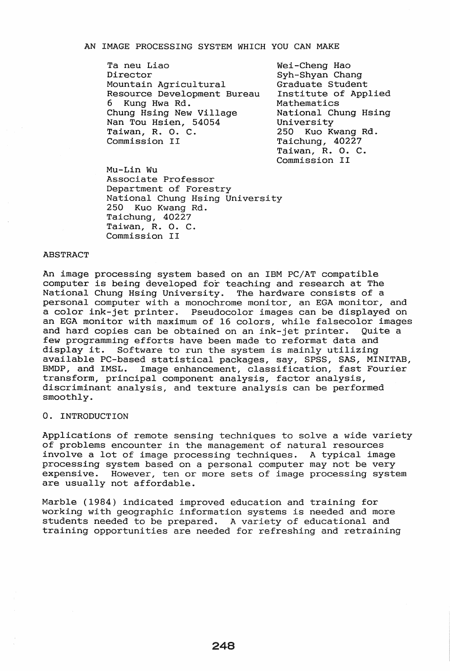#### AN IMAGE PROCESSING SYSTEM WHICH YOU CAN MAKE

Ta neu Liao Director Mountain Agricultural Resource Development Bureau 6 Kung Hwa Rd. Chung HSing New Village Nan Tou Hsien, 54054 Taiwan, R. O. C. Commission II

Wei-Cheng Hao Syh-Shyan Chang Graduate Student Institute of Applied Mathematics National Chung Hsing University<br>250 Kuo Ku Kuo Kwang Rd. Taichung, 40227 Taiwan, R. O. C. Commission II

Mu-Lin Wu Associate Professor Department of Forestry National Chung Hsing University<br>250 Kuo Kwang Rd. Kuo Kwang Rd. Taichung, 40227 Taiwan, R. O. C. Commission II

# ABSTRACT

An image processing system based on an IBM PC/AT compatible computer is being developed for teaching and research at The National Chung HSing University. The hardware consists of a personal computer with a monochrome monitor, an EGA monitor, and a color ink-jet printer. Pseudocolor images can be displayed on an EGA monitor with maximum of 16 colors, while falsecolor images and hard copies can be obtained on an ink-jet printer. Quite a few programming efforts have been made to reformat data and display it. Software to run the system is mainly utilizing available PC-based statistical packages, say, SPSS, SAS, MINITAB, Image enhancement, classification, fast Fourier transform, principal component analysis, factor analysis, discriminant analysis, and texture analysis can be performed smoothly.

## o. INTRODUCTION

Applications of remote sensing techniques to solve a wide variety of problems encounter in the management of natural resources involve a lot of image processing techniques. A typical image processing system based on a personal computer may not be very expensive. However, ten or more sets of image processing system are usually not affordable.

Marble (1984) indicated improved education and training for working with geographic information systems is needed and more students needed to be prepared. A variety of educational and training opportunities are needed for refreshing and retraining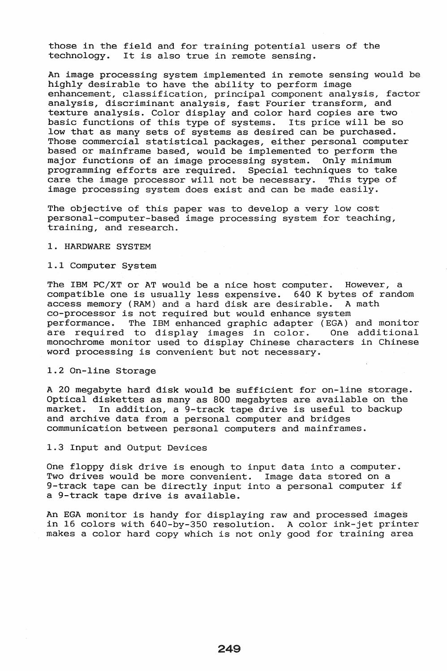those in the field and for training potential users of the technology. It is also true in remote sensing.

An image processing system implemented in remote sensing would be highly desirable to have the ability to perform image enhancement, classification, principal component analysis, factor analysis, discriminant analysis, fast Fourier transform, and texture analysis. Color display and color hard copies are two basic functions of this type of systems. Its price will be so low that as many sets of systems as desired can be purchased. Those commercial statistical packages, either personal computer based or mainframe based, would be implemented to perform the major functions of an image processing system. Only minimum programming efforts are required. Special techniques to take care the image processor will not be necessary. This type of image processing system does exist and can be made easily.

The objective of this paper was to develop a very low cost personal-computer-based image processing system for teaching, training, and research.

# 1. HARDWARE SYSTEM

# 1.1 Computer System

The IBM PC/XT or AT would be a nice host computer. However, a compatible one is usually less expensive.  $640$  K bytes of random access memory (RAM) and a hard disk are desirable. A math access memory (RAM) and a hard disk are desirable. co-processor is not required but would enhance system performance. The IBM enhanced graphic adapter (EGA) and monitor are required to display images in color. monochrome monitor used to display Chinese characters in Chinese word processing is convenient but not necessary.

## 1.2 On-line Storage

A 20 megabyte hard disk would be sufficient for on-line storage. Optical diskettes as many as 800 megabytes are available on the market. In addition, a 9-track tape drive is useful to backup In addition, a 9-track tape drive is useful to backup and archive data from a personal computer and bridges communication between personal computers and mainframes.

1.3 Input and Output Devices

One floppy disk drive is enough to input data into a computer. Two drives would be more convenient. Image data stored on a 9-track tape can be directly input into a personal computer if a 9-track tape drive is available.

An EGA monitor is handy for displaying raw and processed images in 16 colors with 640-by-350 resolution. A color ink-jet printer makes a color hard copy which is not only good for training area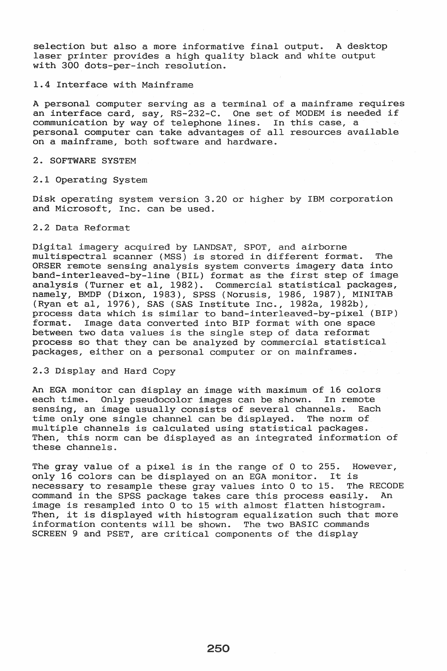selection but also a more informative final output. A desktop laser printer provides a high quality black and white output with 300 dots-per-inch resolution.

## 1.4 Interface with Mainframe

A personal computer serving as a terminal of a mainframe requires an interface card, say, RS-232-C. One set of MODEM is needed if communication by way of telephone lines. In this case, a personal computer can take advantages of all resources available on a mainframe, both software and hardware.

## 2. SOFTWARE SYSTEM

## 2.1 Operating System

Disk operating system version 3.20 or higher by IBM and Microsoft, Inc. can be used.

## 2.2 Data Reformat

Digital imagery acquired by LANDSAT, SPOT, and airborne multispectral scanner (MSS) is stored in different format. The ORSER remote sensing analysis system converts imagery data into band-interleaved-by-line (BIL) format as the first step of image analysis (Turner et aI, 1982). Commercial statistical packages, namely, BMDP (Dixon, 1983), SPSS (Norusis, 1986, 1987), MINITAB (Ryan et aI, 1976), SAS (SAS Institute Inc., 1982a, 1982b), process data which is similar to band-interleaved-by-pixel (BIP) format. Image data converted into BIP format with one space between two data values is the single step of data reformat process so that they can be analyzed by commercial statistical packages, either on a personal computer or on mainframes.

# 2.3 Display and Hard Copy

An EGA monitor can display an image with maximum of 16 colors each time. Only pseudocolor images can be shown. In remote sensing, an image usually consists of several channels. Each time only one single channel can be displayed. The norm of time only one single channel can be displayed. multiple channels is calculated using statistical packages. Then, this norm can be displayed as an integrated information of these channels.

The gray value of a pixel is in the range of 0 to 255. However, only 16 colors can be displayed on an EGA monitor. It is<br>necessary to resample these gray values into 0 to 15. The RECODE necessary to resample these gray values into 0 to 15. command in the SPSS package takes care this process easily. An image is resampled into 0 to 15 with almost flatten histogram. Then, it is displayed with histogram equalization such that more information contents will be shown. The two BASIC commands SCREEN 9 and PSET, are critical components of the display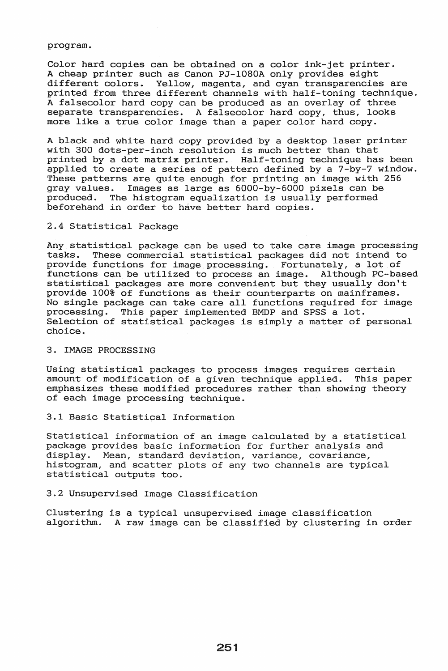### program.

Color hard copies can be obtained on a color ink-jet printer. A cheap printer such as Canon PJ-l080A only provides eight different colors. Yellow, magenta, and cyan transparencies are printed from three different channels with half-toning technique. A falsecolor hard copy can be produced as an overlay of three separate transparencies. A falsecolor hard copy, thus, looks more like a true color image than a paper color hard copy.

A black and white hard copy provided by a desktop laser printer with 300 dots-per-inch resolution is much better than that printed by a dot matrix printer. Half-toning technique has been applied to create a series of pattern defined by a 7-by-7 window. These patterns are quite enough for printing an image with 256 gray values. Images as large as 6000-by-6000 pixels can be produced. The histogram equalization is usually performed The histogram equalization is usually performed beforehand in order to have better hard copies.

## 2.4 Statistical Package

Any statistical package can be used to take care image processing<br>tasks. These commercial statistical packages did not intend to These commercial statistical packages did not intend to provide functions for image processing. Fortunately, a lot of functions can be utilized to process an image. Although PC-based functions can be utilized to process an image. statistical packages are more convenient but they usually don't provide 100% of functions as their counterparts on mainframes. No single package can take care all functions required for image processing. This paper implemented BMDP and SPSS a lot. Selection of statistical packages is simply a matter of personal choice.

# 3. IMAGE PROCESSING

Using statistical packages to process images requires certain amount of modification of a given technique applied. This paper emphasizes these modified procedures rather than showing theory of each image processing technique.

# 3.1 Basic Statistical Information

Statistical information of an image calculated by a statistical package provides basic information for further analysis and display. Mean, standard deviation, variance, covariance, histogram, and scatter plots of any two channels are typical statistical outputs too.

# 3.2 Unsupervised Image Classification

Clustering is a typical unsupervised image classification algorithm. A raw image can be classified by clustering in order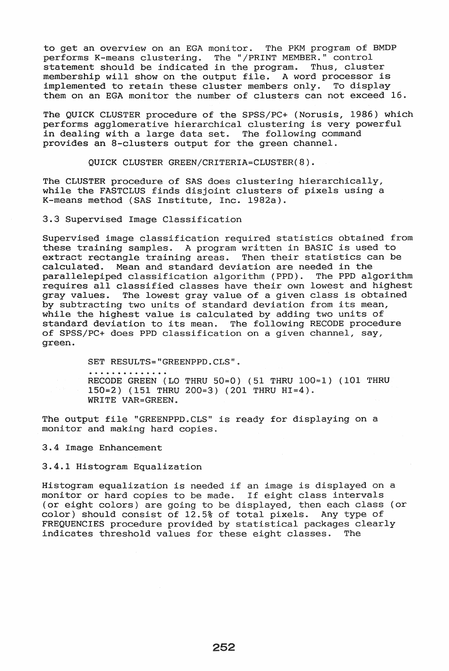to get an overview on an EGA monitor. The PKM program of BMDP performs K-means clustering. The "/PRINT MEMBER." control statement should be indicated in the program. Thus, cluster membership will show on the output file. A word processor is implemented to retain these cluster members only. To display implemented to retain these cluster members only. them on an EGA monitor the number of clusters can not exceed 16.

The QUICK CLUSTER procedure of the SPSS/PC+ (Norusis, 1986) which performs agglomerative hierarchical clustering is very powerful in dealing with a large data set. The following command provides an 8-clusters output for the green channel.

QUICK CLUSTER GREEN/CRITERIA=CLUSTER(8).

The CLUSTER procedure of SAS does clustering hierarchically, while the FASTCLUS finds disjoint clusters of pixels using a K-means method (SAS Institute, Inc. 1982a).

3.3 Supervised Image Classification

Supervised image classification required statistics obtained from these training samples. A program written in BASIC is used to extract rectangle training areas. Then their statistics can be calculated. Mean and standard deviation are needed in the parallelepiped classification algorithm (PPD). The PPD algorithm requires all classified classes have their own lowest and highest<br>gray values. The lowest gray value of a given class is obtained The lowest gray value of a given class is obtained by subtracting two units of standard deviation from its mean, while the highest value is calculated by adding two units of standard deviation to its mean. The following RECODE procedure of SPSS/PC+ does PPD classification on a given channel, say, green.

> SET RESULTS="GREENPPD.CLS". RECODE GREEN (LO THRU 50=0) (51 THRU 100=1) (101 THRU 150=2) (151 THRU 200=3) (201 THRU HI=4). WRITE VAR=GREEN ..

The output file "GREENPPD.CLS" is ready for displaying on a monitor and making hard copies.

3.4 Image Enhancement

3.4.1 Histogram Equalization

Histogram equalization is needed if an image is displayed on a monitor or hard copies to be made. If eight class intervals (or eight colors) are going to be displayed, then each class (or color) should consist of 12.5% of total pixels. Any type of color) should consist of  $12.5$ % of total pixels. FREQUENCIES procedure provided by statistical packages clearly indicates threshold values for these eight classes. The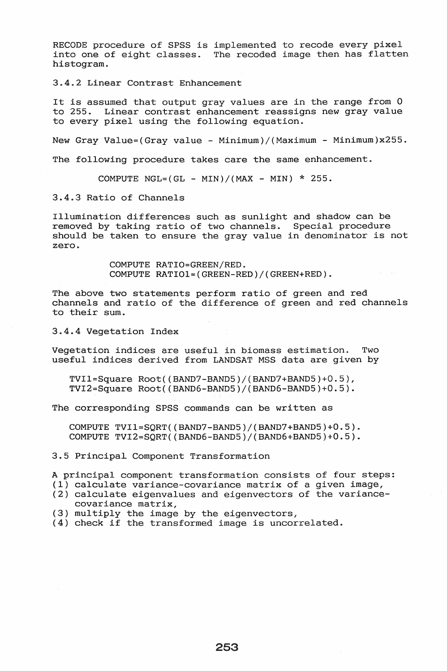RECODE procedure of SPSS is implemented to recode every pixel into one of eight classes. The recoded image then has flatten histogram.

3.4.2 Linear Contrast Enhancement

It is assumed that output gray values are in the range from 0 to 255. Linear contrast enhancement reassigns new gray value to every pixel using the following equation.

New Gray Value=(Gray value - Minimum)/(Maximum - Minimum)x255.

The following procedure takes care the same enhancement.

COMPUTE NGL= $(GL - MIN)/(MAX - MIN) * 255$ .

3.4.3 Ratio of Channels

Illumination differences such as sunlight and shadow can be removed by taking ratio of two channels. Special procedure should be taken to ensure the gray value in denominator is not zero.

> COMPUTE RATIO=GREEN/RED. COMPUTE RATIOl=(GREEN-RED)/(GREEN+RED).

The above two statements perform ratio of green and red channels and ratio of the difference of green and red channels to their sum.

3.4.4 Vegetation Index

Vegetation indices are useful in biomass estimation. Two useful indices derived from LANDSAT MSS data are given by

 $TVI1=Square$   $Root((BAND7-BAND5)/(BAND7+BAND5)+0.5)$ ,  $TVI2 = Square Root((BAND6-BAND5)/(BAND6-BAND5)+0.5)$ .

The corresponding SPSS commands can be written as

COMPUTE TVI1=SORT((BAND7-BAND5)/(BAND7+BAND5)+ $0.5$ ). COMPUTE TVI2=SQRT((BAND6-BAND5)/(BAND6+BAND5)+ $0.5$ ).

3.5 Principal Component Transformation

A principal component transformation consists of four steps: (1) calculate variance-covariance matrix of a given image,

- (2) calculate eigenvalues and eigenvectors of the variancecovariance matrix,
- (3) multiply the image by the eigenvectors,
- (4) check if the transformed image is uncorrelated.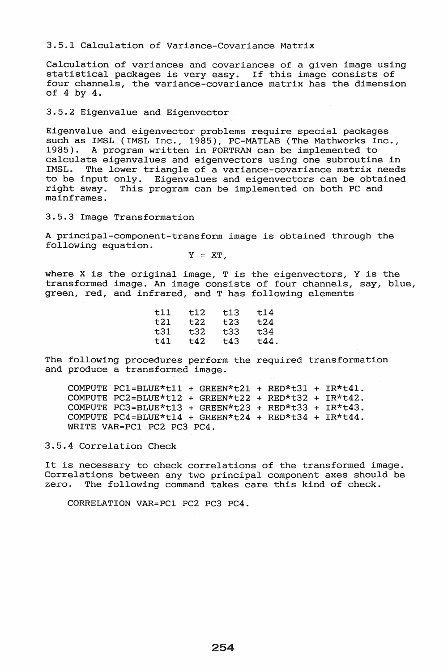3.5.1 Calculation of Variance-Covariance Matrix

Calculation of variances and covariances of a given image using statistical packages is very easy. If this image consists of four channels, the variance-covariance matrix has the dimension of 4 by 4.

3.5.2 Eigenvalue and Eigenvector

Eigenvalue and eigenvector problems require special packages such as IMSL (IMSL Inc., 1985), PC-MATLAB (The Mathworks Inc., 1985). A program written in FORTRAN can be implemented to calculate eigenvalues and eigenvectors using one subroutine in IMSL. The lower triangle of a variance-covariance matrix needs to be input only. Eigenvalues and eigenvectors can be obtained<br>right away. This program can be implemented on both PC and This program can be implemented on both PC and mainframes.

3.5.3 Image Transformation

A principal-component-transform image is obtained through the following equation.

 $Y = XT$ .

where X is the original image,  $T$  is the eigenvectors, Y is the transformed image. An image consists of four channels, say, blue, green, red, and infrared, and T has following elements

| t12  | t13 | t14  |
|------|-----|------|
| t22  | t23 | t24  |
| t32  | t33 | t34  |
| t:42 | t43 | t44. |
|      |     |      |

The following procedures perform the required transformation and produce a transformed image.

COMPUTE PC1=BLUE\*t11 + GREEN\*t21 + RED\*t31 +  $IR*t41$ . COMPUTE PC2=BLUE\*t12 + GREEN\*t22 + RED\*t32 + IR\*t42. COMPUTE PC3=BLUE\*t13 + GREEN\*t23 + RED\*t33 + IR\*t43. COMPUTE PC4=BLUE\*t14 + GREEN\*t24 + RED\*t34 + IR\*t44. WRITE VAR=PC1 PC2 PC3 PC4.

3.5.4 Correlation Check

It is necessary to check correlations of the transformed image. Correlations between any two principal component axes should be zero. The following command takes care this kind of check.

CORRELATION VAR=PC1 PC2 PC3 PC4.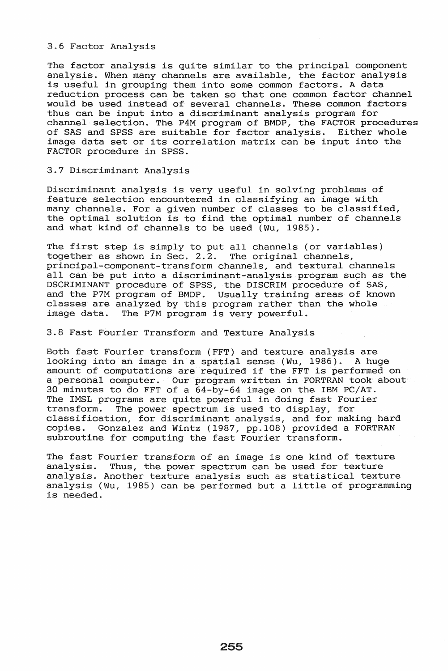3.6 Factor Analysis

The factor analysis is quite similar to the principal component analysis. When many channels are available, the factor analysis is useful in grouping them into some common factors. A data reduction process can be taken so that one common factor channel would be used instead of several channels. These common factors thus can be input into a discriminant analysis program for channel selection. The P4M program of BMDP, the FACTOR procedures of SAS and SPSS are suitable for factor analysis. Either whole image data set or its correlation matrix can be input into the FACTOR procedure in SPSS.

# 3.7 Discriminant Analysis

Discriminant analysis is very useful in solving problems of feature selection encountered in classifying an image with many channels. For a given number of classes to be classified, the optimal solution is to find the optimal number of channels and what kind of channels to be used (Wu, 1985).

The first step is simply to put all channels (or variables) together as shown in Sec. 2.2. The original channels, principal-component-transform channels, and textural channels all can be put into a discriminant-analysis program such as the DSCRIMINANT procedure of SPSS, the DISCRIM procedure of SAS, and the P7M program of BMDP. Usually training areas of known classes are analyzed by this program rather than the whole image data. The P7M program is very powerful.

3.8 Fast Fourier Transform and Texture Analysis

Both fast Fourier transform (FFT) and texture analysis are looking into an image in a spatial sense (Wu, 1986). A huge amount of computations are required if the FFT is performed on a personal computer. Our program written in FORTRAN took about 30 minutes to do FFT of a 64-by-64 image on the IBM PC/AT. The IMSL programs are quite powerful in doing fast Fourier<br>transform. The power spectrum is used to display, for The power spectrum is used to display, for classification, for discriminant analysis, and for making hard copies. Gonzalez and Wintz (1987, pp.108) provided a FORTRAN subroutine for computing the fast Fourier transform.

The fast Fourier transform of an image is one kind of texture analysis. Thus, the power spectrum can be used for texture analysis. Another texture analysis such as statistical texture analysis (Wu, 1985) can be performed but a little of programming is needed.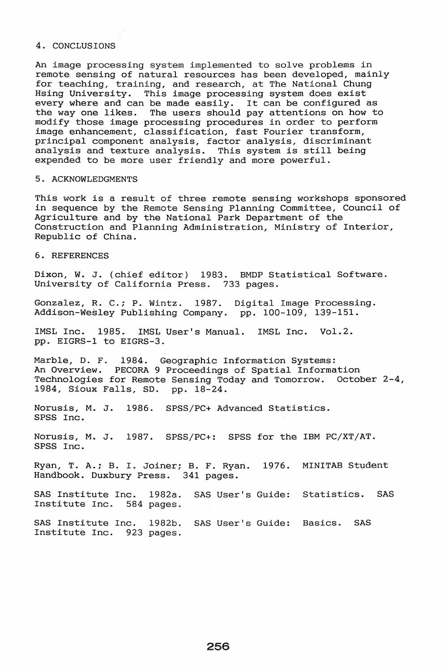### 4. CONCLUSIONS

An image processing system implemented to solve problems in remote sensing of natural resources has been developed, mainly for teaching, training, and research, at The National Chung Hsing University. This image processing system does exist every where and can be made easily. It can be configured as the way one likes. The users should pay attentions on how to modify those image processing procedures in order to perform image enhancement, classification, fast Fourier transform, principal component analysis, factor analysis, discriminant analysis and texture analysis. This system is still being expended to be more user friendly and more powerful.

### 5. ACKNOWLEDGMENTS

This work is a result of three remote sensing workshops sponsored in sequence by the Remote Sensing Planning Committee, Council of Agriculture and by the National Park Department of the Construction and Planning Administration, Ministry of Interior, Republic of China.

## 6. REFERENCES

Dixon, W. J. (chief editor) 1983. BMDP Statistical Software. University of California Press. 733 pages.

Gonzalez, R. C.; P. Wintz. 1987. Digital Image Processing. Addison-Wesley Publishing Company. pp. 100-109, 139-151.

IMSL Inc. 1985. IMSL User's Manual. IMSL Inc. Vol.2. pp. EIGRS-1 to EIGRS-3.

Marble, D. F. 1984. Geographic Information Systems: An Overview. PECORA 9 Proceedings of Spatial Information Technologies for Remote Sensing Today and Tomorrow. October 2-4, 1984, Sioux Falls, SD. pp. 18-24.

Norusis, M. J. 1986. SPSS/PC+ Advanced Statistics. SPSS Inc.

Norusis, M. J. 1987. SPSS/PC+: SPSS for the IBM PC/XT/AT. SPSS Inc.

Ryan, T. A.; B. I. Joiner; B. F. Ryan. 1976. MINITAB Student Handbook. Duxbury Press. 341 pages.

SAS Institute Inc. 1982a. SAS User's Guide: Statistics. SAS Institute Inc. 584 pages.

SAS Institute Inc. 1982b. SAS User's Guide: Basics. SAS Institute Inc. 923 pages.